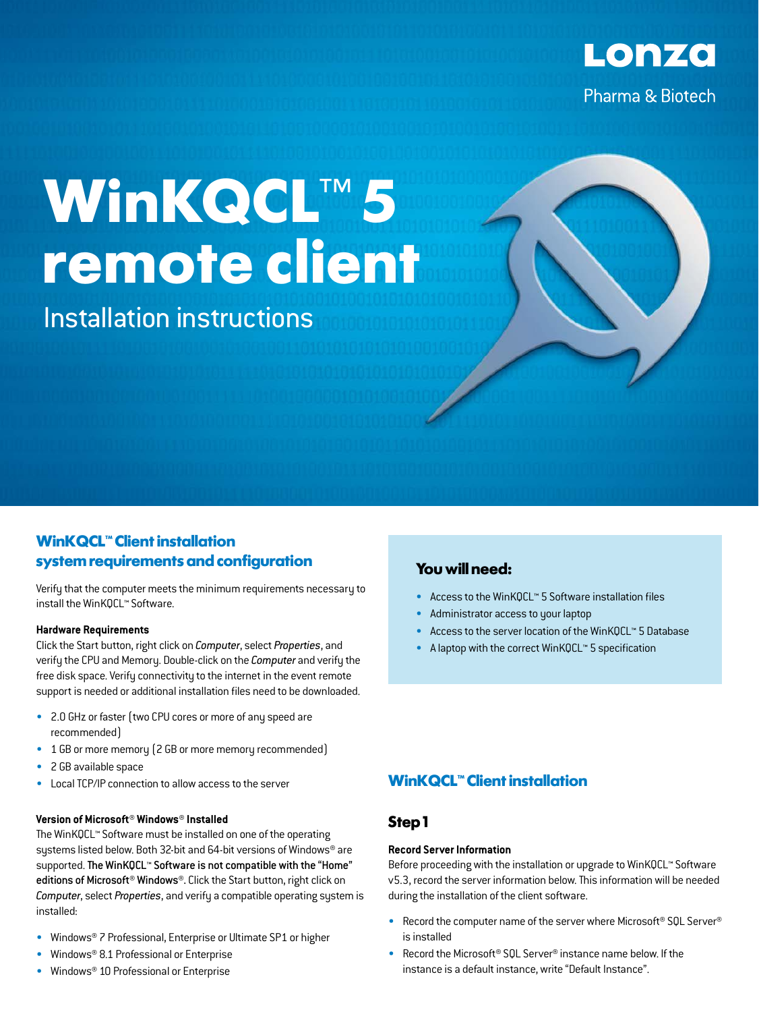

# **WinKQCL**™ **5 remote client**

Installation instructions

## **WinKQCL<sup>™</sup> Client installation system requirements and configuration**

Verify that the computer meets the minimum requirements necessary to install the WinKQCL™ Software.

#### **Hardware Requirements**

Click the Start button, right click on *Computer*, select *Properties*, and verify the CPU and Memory. Double-click on the *Computer* and verify the free disk space. Verify connectivity to the internet in the event remote support is needed or additional installation files need to be downloaded.

- 2.0 GHz or faster (two CPU cores or more of any speed are recommended)
- 1 GB or more memory (2 GB or more memory recommended)
- 2 GB available space
- Local TCP/IP connection to allow access to the server

## **Version of Microsoft® Windows® Installed**

The WinKQCL™ Software must be installed on one of the operating systems listed below. Both 32-bit and 64-bit versions of Windows® are supported. The WinKQCL™ Software is not compatible with the "Home" editions of Microsoft® Windows®. Click the Start button, right click on *Computer*, select *Properties*, and verify a compatible operating system is installed:

- Windows® 7 Professional, Enterprise or Ultimate SP1 or higher
- Windows® 8.1 Professional or Enterprise
- Windows® 10 Professional or Enterprise

## **You will need:**

- Access to the WinKQCL™ 5 Software installation files
- Administrator access to your laptop
- Access to the server location of the WinKQCL™ 5 Database
- A laptop with the correct WinKQCL™ 5 specification

## **WinKQCL<sup>™</sup> Client installation**

## **Step 1**

### **Record Server Information**

Before proceeding with the installation or upgrade to WinKQCL™ Software v5.3, record the server information below. This information will be needed during the installation of the client software.

- Record the computer name of the server where Microsoft® SQL Server® is installed
- Record the Microsoft® SQL Server® instance name below. If the instance is a default instance, write "Default Instance".